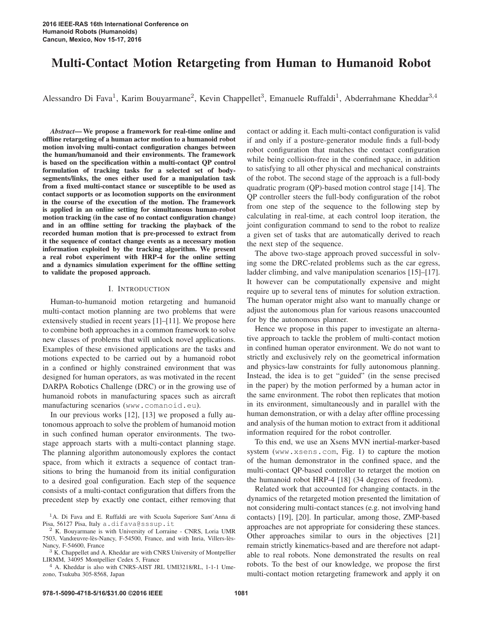# Multi-Contact Motion Retargeting from Human to Humanoid Robot

Alessandro Di Fava<sup>1</sup>, Karim Bouyarmane<sup>2</sup>, Kevin Chappellet<sup>3</sup>, Emanuele Ruffaldi<sup>1</sup>, Abderrahmane Kheddar<sup>3,4</sup>

*Abstract*— We propose a framework for real-time online and offline retargeting of a human actor motion to a humanoid robot motion involving multi-contact configuration changes between the human/humanoid and their environments. The framework is based on the specification within a multi-contact QP control formulation of tracking tasks for a selected set of bodysegments/links, the ones either used for a manipulation task from a fixed multi-contact stance or susceptible to be used as contact supports or as locomotion supports on the environment in the course of the execution of the motion. The framework is applied in an online setting for simultaneous human-robot motion tracking (in the case of no contact configuration change) and in an offline setting for tracking the playback of the recorded human motion that is pre-processed to extract from it the sequence of contact change events as a necessary motion information exploited by the tracking algorithm. We present a real robot experiment with HRP-4 for the online setting and a dynamics simulation experiment for the offline setting to validate the proposed approach.

#### I. INTRODUCTION

Human-to-humanoid motion retargeting and humanoid multi-contact motion planning are two problems that were extensively studied in recent years [1]–[11]. We propose here to combine both approaches in a common framework to solve new classes of problems that will unlock novel applications. Examples of these envisioned applications are the tasks and motions expected to be carried out by a humanoid robot in a confined or highly constrained environment that was designed for human operators, as was motivated in the recent DARPA Robotics Challenge (DRC) or in the growing use of humanoid robots in manufacturing spaces such as aircraft manufacturing scenarios (www.comanoid.eu).

In our previous works [12], [13] we proposed a fully autonomous approach to solve the problem of humanoid motion in such confined human operator environments. The twostage approach starts with a multi-contact planning stage. The planning algorithm autonomously explores the contact space, from which it extracts a sequence of contact transitions to bring the humanoid from its initial configuration to a desired goal configuration. Each step of the sequence consists of a multi-contact configuration that differs from the precedent step by exactly one contact, either removing that contact or adding it. Each multi-contact configuration is valid if and only if a posture-generator module finds a full-body robot configuration that matches the contact configuration while being collision-free in the confined space, in addition to satisfying to all other physical and mechanical constraints of the robot. The second stage of the approach is a full-body quadratic program (QP)-based motion control stage [14]. The QP controller steers the full-body configuration of the robot from one step of the sequence to the following step by calculating in real-time, at each control loop iteration, the joint configuration command to send to the robot to realize a given set of tasks that are automatically derived to reach the next step of the sequence.

The above two-stage approach proved successful in solving some the DRC-related problems such as the car egress, ladder climbing, and valve manipulation scenarios [15]–[17]. It however can be computationally expensive and might require up to several tens of minutes for solution extraction. The human operator might also want to manually change or adjust the autonomous plan for various reasons unaccounted for by the autonomous planner.

Hence we propose in this paper to investigate an alternative approach to tackle the problem of multi-contact motion in confined human operator environment. We do not want to strictly and exclusively rely on the geometrical information and physics-law constraints for fully autonomous planning. Instead, the idea is to get "guided" (in the sense precised in the paper) by the motion performed by a human actor in the same environment. The robot then replicates that motion in its environment, simultaneously and in parallel with the human demonstration, or with a delay after offline processing and analysis of the human motion to extract from it additional information required for the robot controller.

To this end, we use an Xsens MVN inertial-marker-based system (www.xsens.com, Fig. 1) to capture the motion of the human demonstrator in the confined space, and the multi-contact QP-based controller to retarget the motion on the humanoid robot HRP-4 [18] (34 degrees of freedom).

Related work that accounted for changing contacts. in the dynamics of the retargeted motion presented the limitation of not considering multi-contact stances (e.g. not involving hand contacts) [19], [20]. In particular, among those, ZMP-based approaches are not appropriate for considering these stances. Other approaches similar to ours in the objectives [21] remain strictly kinematics-based and are therefore not adaptable to real robots. None demonstrated the results on real robots. To the best of our knowledge, we propose the first multi-contact motion retargeting framework and apply it on

<sup>&</sup>lt;sup>1</sup>A. Di Fava and E. Ruffaldi are with Scuola Superiore Sant'Anna di Pisa, 56127 Pisa, Italy a. difava@sssup.it

 $2$  K. Bouyarmane is with University of Lorraine - CNRS, Loria UMR 7503, Vandœuvre-lès-Nancy, F-54500, France, and with Inria, Villers-lès-Nancy, F-54600, France

<sup>&</sup>lt;sup>3</sup> K. Chappellet and A. Kheddar are with CNRS University of Montpellier LIRMM, 34095 Montpellier Cedex 5, France

<sup>4</sup> A. Kheddar is also with CNRS-AIST JRL UMI3218/RL, 1-1-1 Umezono, Tsukuba 305-8568, Japan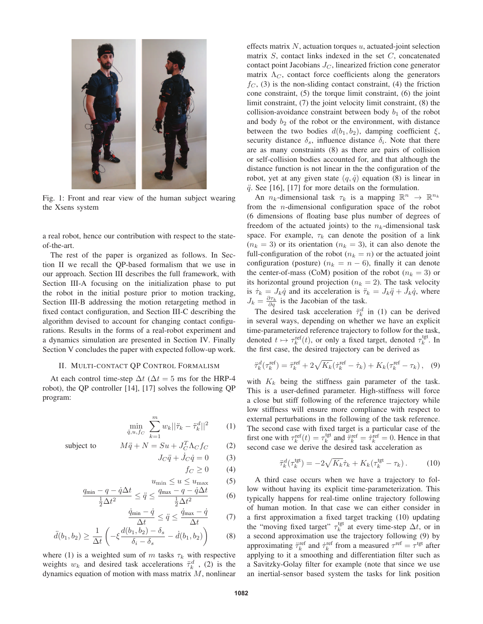

Fig. 1: Front and rear view of the human subject wearing the Xsens system

a real robot, hence our contribution with respect to the stateof-the-art.

The rest of the paper is organized as follows. In Section II we recall the QP-based formalism that we use in our approach. Section III describes the full framework, with Section III-A focusing on the initialization phase to put the robot in the initial posture prior to motion tracking, Section III-B addressing the motion retargeting method in fixed contact configuration, and Section III-C describing the algorithm devised to account for changing contact configurations. Results in the forms of a real-robot experiment and a dynamics simulation are presented in Section IV. Finally Section V concludes the paper with expected follow-up work.

#### II. MULTI-CONTACT QP CONTROL FORMALISM

At each control time-step  $\Delta t$  ( $\Delta t = 5$  ms for the HRP-4 robot), the QP controller [14], [17] solves the following QP program:

$$
\min_{\ddot{q}, u, f_C} \sum_{k=1}^{m} w_k ||\ddot{\tau}_k - \ddot{\tau}_k^d||^2 \qquad (1)
$$

subject to 
$$
M\ddot{q} + N = Su + J_C^T \Lambda_C f_C
$$
 (2)

$$
J_C \ddot{q} + \dot{J}_C \dot{q} = 0 \tag{3}
$$

 $f_C \ge 0$  (4)

$$
u_{\min} \le u \le u_{\max} \qquad (5)
$$

$$
\frac{q_{\min} - q - \dot{q}\Delta t}{\frac{1}{2}\Delta t^2} \le \ddot{q} \le \frac{q_{\max} - q - \dot{q}\Delta t}{\frac{1}{2}\Delta t^2} \tag{6}
$$

$$
\frac{\dot{q}_{\min} - \dot{q}}{\Delta t} \le \ddot{q} \le \frac{\dot{q}_{\max} - \dot{q}}{\Delta t} \tag{7}
$$

$$
\ddot{d}(b_1, b_2) \ge \frac{1}{\Delta t} \left( -\xi \frac{d(b_1, b_2) - \delta_s}{\delta_i - \delta_s} - \dot{d}(b_1, b_2) \right) \tag{8}
$$

where (1) is a weighted sum of m tasks  $\tau_k$  with respective weights  $w_k$  and desired task accelerations  $\ddot{\tau}_k^d$ , (2) is the dynamics equation of motion with mass matrix  $M$ , nonlinear effects matrix  $N$ , actuation torques  $u$ , actuated-joint selection matrix  $S$ , contact links indexed in the set  $C$ , concatenated contact point Jacobians  $J_C$ , linearized friction cone generator matrix  $\Lambda_C$ , contact force coefficients along the generators  $f_C$ , (3) is the non-sliding contact constraint, (4) the friction cone constraint, (5) the torque limit constraint, (6) the joint limit constraint, (7) the joint velocity limit constraint, (8) the collision-avoidance constraint between body  $b_1$  of the robot and body  $b_2$  of the robot or the environment, with distance between the two bodies  $d(b_1, b_2)$ , damping coefficient  $\xi$ , security distance  $\delta_s$ , influence distance  $\delta_i$ . Note that there are as many constraints (8) as there are pairs of collision or self-collision bodies accounted for, and that although the distance function is not linear in the the configuration of the robot, yet at any given state  $(q, \dot{q})$  equation (8) is linear in  $\ddot{q}$ . See [16], [17] for more details on the formulation.

An  $n_k$ -dimensional task  $\tau_k$  is a mapping  $\mathbb{R}^n \to \mathbb{R}^{n_k}$ from the n-dimensional configuration space of the robot (6 dimensions of floating base plus number of degrees of freedom of the actuated joints) to the  $n_k$ -dimensional task space. For example,  $\tau_k$  can denote the position of a link  $(n_k = 3)$  or its orientation  $(n_k = 3)$ , it can also denote the full-configuration of the robot ( $n_k = n$ ) or the actuated joint configuration (posture) ( $n_k = n - 6$ ), finally it can denote the center-of-mass (CoM) position of the robot ( $n_k = 3$ ) or its horizontal ground projection ( $n_k = 2$ ). The task velocity is  $\dot{\tau}_k = J_k \dot{q}$  and its acceleration is  $\ddot{\tau}_k = J_k \ddot{q} + \dot{J}_k \dot{q}$ , where  $J_k = \frac{\partial \tau_k}{\partial q}$  is the Jacobian of the task.

The desired task acceleration  $\ddot{\tau}_k^d$  in (1) can be derived in several ways, depending on whether we have an explicit time-parameterized reference trajectory to follow for the task, denoted  $t \mapsto \tau_k^{\text{ref}}(t)$ , or only a fixed target, denoted  $\tau_k^{\text{tgt}}$ . In the first case, the desired trajectory can be derived as

$$
\ddot{\tau}_k^d(\tau_k^{\text{ref}}) = \ddot{\tau}_k^{\text{ref}} + 2\sqrt{K_k}(\dot{\tau}_k^{\text{ref}} - \dot{\tau}_k) + K_k(\tau_k^{\text{ref}} - \tau_k), \quad (9)
$$

with  $K_k$  being the stiffness gain parameter of the task. This is a user-defined parameter. High-stiffness will force a close but stiff following of the reference trajectory while low stiffness will ensure more compliance with respect to external perturbations in the following of the task reference. The second case with fixed target is a particular case of the first one with  $\tau_k^{\text{ref}}(t) = \tau_k^{\text{tgt}}$  and  $\tilde{\tau}_k^{\text{ref}} = \dot{\tau}_k^{\text{ref}} = 0$ . Hence in that second case we derive the desired task acceleration as

$$
\ddot{\tau}_k^d(\tau_k^{\text{tgt}}) = -2\sqrt{K_k}\dot{\tau}_k + K_k(\tau_k^{\text{tgt}} - \tau_k). \tag{10}
$$

A third case occurs when we have a trajectory to follow without having its explicit time-parameterization. This typically happens for real-time online trajectory following of human motion. In that case we can either consider in a first approximation a fixed target tracking (10) updating the "moving fixed target"  $\tau_k^{\text{tgt}}$  at every time-step  $\Delta t$ , or in a second approximation use the trajectory following (9) by approximating  $\tau_k^{\text{ref}}$  and  $\tau_k^{\text{ref}}$  from a measured  $\tau^{\text{ref}} = \tau^{\text{tgt}}$  after applying to it a smoothing and differentiation filter such as a Savitzky-Golay filter for example (note that since we use an inertial-sensor based system the tasks for link position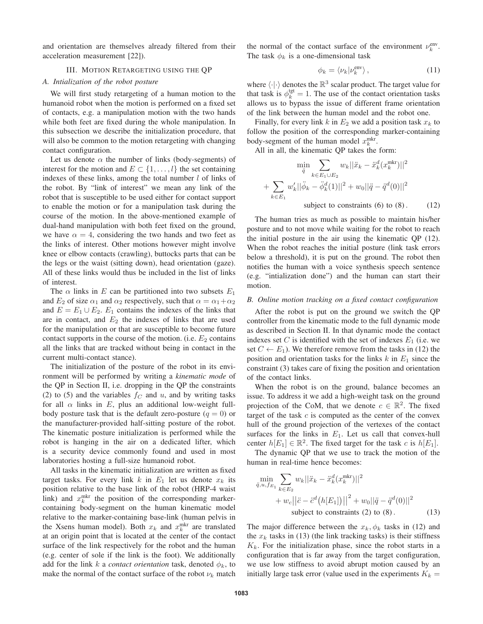and orientation are themselves already filtered from their acceleration measurement [22]).

## III. MOTION RETARGETING USING THE QP

## *A. Intialization of the robot posture*

We will first study retargeting of a human motion to the humanoid robot when the motion is performed on a fixed set of contacts, e.g. a manipulation motion with the two hands while both feet are fixed during the whole manipulation. In this subsection we describe the initialization procedure, that will also be common to the motion retargeting with changing contact configuration.

Let us denote  $\alpha$  the number of links (body-segments) of interest for the motion and  $E \subset \{1, \ldots, l\}$  the set containing indexes of these links, among the total number  $l$  of links of the robot. By "link of interest" we mean any link of the robot that is susceptible to be used either for contact support to enable the motion or for a manipulation task during the course of the motion. In the above-mentioned example of dual-hand manipulation with both feet fixed on the ground, we have  $\alpha = 4$ , considering the two hands and two feet as the links of interest. Other motions however might involve knee or elbow contacts (crawling), buttocks parts that can be the legs or the waist (sitting down), head orientation (gaze). All of these links would thus be included in the list of links of interest.

The  $\alpha$  links in E can be partitioned into two subsets  $E_1$ and  $E_2$  of size  $\alpha_1$  and  $\alpha_2$  respectively, such that  $\alpha = \alpha_1 + \alpha_2$ and  $E = E_1 \cup E_2$ .  $E_1$  contains the indexes of the links that are in contact, and  $E_2$  the indexes of links that are used for the manipulation or that are susceptible to become future contact supports in the course of the motion. (i.e.  $E_2$  contains all the links that are tracked without being in contact in the current multi-contact stance).

The initialization of the posture of the robot in its environment will be performed by writing a *kinematic mode* of the QP in Section II, i.e. dropping in the QP the constraints (2) to (5) and the variables  $f_C$  and u, and by writing tasks for all  $\alpha$  links in E, plus an additional low-weight fullbody posture task that is the default zero-posture  $(q = 0)$  or the manufacturer-provided half-sitting posture of the robot. The kinematic posture initialization is performed while the robot is hanging in the air on a dedicated lifter, which is a security device commonly found and used in most laboratories hosting a full-size humanoid robot.

All tasks in the kinematic initialization are written as fixed target tasks. For every link k in  $E_1$  let us denote  $x_k$  its position relative to the base link of the robot (HRP-4 waist link) and  $x_k^{\text{mkr}}$  the position of the corresponding markercontaining body-segment on the human kinematic model relative to the marker-containing base-link (human pelvis in the Xsens human model). Both  $x_k$  and  $x_k^{\text{mkr}}$  are translated at an origin point that is located at the center of the contact surface of the link respectively for the robot and the human (e.g. center of sole if the link is the foot). We additionally add for the link k a *contact orientation* task, denoted  $\phi_k$ , to make the normal of the contact surface of the robot  $\nu_k$  match

the normal of the contact surface of the environment  $\nu_k^{env}$ . The task  $\phi_k$  is a one-dimensional task

$$
\phi_k = \langle \nu_k | \nu_k^{\text{env}} \rangle \,, \tag{11}
$$

where  $\langle \cdot | \cdot \rangle$  denotes the  $\mathbb{R}^3$  scalar product. The target value for that task is  $\phi_k^{\text{tgt}} = 1$ . The use of the contact orientation tasks allows us to bypass the issue of different frame orientation of the link between the human model and the robot one.

Finally, for every link k in  $E_2$  we add a position task  $x_k$  to follow the position of the corresponding marker-containing body-segment of the human model  $x_k^{\text{mkr}}$ .

All in all, the kinematic QP takes the form:

$$
\min_{\ddot{q}} \sum_{k \in E_1 \cup E_2} w_k ||\ddot{x}_k - \ddot{x}_k^d (x_k^{\text{mkr}})||^2
$$
  
+ 
$$
\sum_{k \in E_1} w'_k ||\ddot{\phi}_k - \ddot{\phi}_k^d (1)||^2 + w_0 ||\ddot{q} - \ddot{q}^d (0)||^2
$$
subject to constraints (6) to (8). (12)

The human tries as much as possible to maintain his/her posture and to not move while waiting for the robot to reach the initial posture in the air using the kinematic QP (12). When the robot reaches the initial posture (link task errors below a threshold), it is put on the ground. The robot then notifies the human with a voice synthesis speech sentence (e.g. "intialization done") and the human can start their motion.

## *B. Online motion tracking on a fixed contact configuration*

After the robot is put on the ground we switch the QP controller from the kinematic mode to the full dynamic mode as described in Section II. In that dynamic mode the contact indexes set C is identified with the set of indexes  $E_1$  (i.e. we set  $C \leftarrow E_1$ ). We therefore remove from the tasks in (12) the position and orientation tasks for the links  $k$  in  $E_1$  since the constraint (3) takes care of fixing the position and orientation of the contact links.

When the robot is on the ground, balance becomes an issue. To address it we add a high-weight task on the ground projection of the CoM, that we denote  $c \in \mathbb{R}^2$ . The fixed target of the task  $c$  is computed as the center of the convex hull of the ground projection of the vertexes of the contact surfaces for the links in  $E_1$ . Let us call that convex-hull center  $h[E_1] \in \mathbb{R}^2$ . The fixed target for the task c is  $h[E_1]$ .

The dynamic QP that we use to track the motion of the human in real-time hence becomes:

$$
\min_{\ddot{q}, u, f_{E_1}} \sum_{k \in E_2} w_k ||\ddot{x}_k - \ddot{x}_k^d (x_k^{\text{mkr}})||^2 + w_c ||\ddot{c} - \ddot{c}^d (h[E_1])||^2 + w_0 ||\ddot{q} - \ddot{q}^d (0)||^2 \text{subject to constraints (2) to (8).} \tag{13}
$$

The major difference between the  $x_k, \phi_k$  tasks in (12) and the  $x_k$  tasks in (13) (the link tracking tasks) is their stiffness  $K_k$ . For the initialization phase, since the robot starts in a configuration that is far away from the target configuration, we use low stiffness to avoid abrupt motion caused by an initially large task error (value used in the experiments  $K_k =$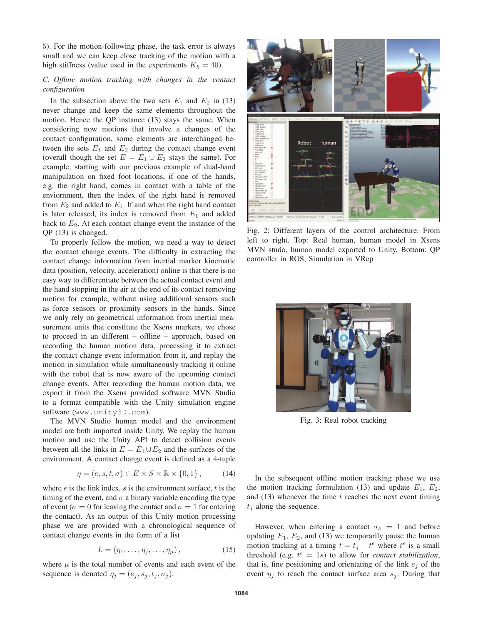5). For the motion-following phase, the task error is always small and we can keep close tracking of the motion with a high stiffness (value used in the experiments  $K_k = 40$ ).

## *C. Offline motion tracking with changes in the contact configuration*

In the subsection above the two sets  $E_1$  and  $E_2$  in (13) never change and keep the same elements throughout the motion. Hence the QP instance (13) stays the same. When considering now motions that involve a changes of the contact configuration, some elements are interchanged between the sets  $E_1$  and  $E_2$  during the contact change event (overall though the set  $E = E_1 \cup E_2$  stays the same). For example, starting with our previous example of dual-hand manipulation on fixed foot locations, if one of the hands, e.g. the right hand, comes in contact with a table of the enviornment, then the index of the right hand is removed from  $E_2$  and added to  $E_1$ . If and when the right hand contact is later released, its index is removed from  $E_1$  and added back to  $E_2$ . At each contact change event the instance of the QP (13) is changed.

To properly follow the motion, we need a way to detect the contact change events. The difficulty in extracting the contact change information from inertial marker kinematic data (position, velocity, acceleration) online is that there is no easy way to differentiate between the actual contact event and the hand stopping in the air at the end of its contact removing motion for example, without using additional sensors such as force sensors or proximity sensors in the hands. Since we only rely on geometrical information from inertial measurement units that constitute the Xsens markers, we chose to proceed in an different – offline – approach, based on recording the human motion data, processing it to extract the contact change event information from it, and replay the motion in simulation while simultaneously tracking it online with the robot that is now aware of the upcoming contact change events. After recording the human motion data, we export it from the Xsens provided software MVN Studio to a format compatible with the Unity simulation engine software (www.unity3D.com).

The MVN Studio human model and the environment model are both imported inside Unity. We replay the human motion and use the Unity API to detect collision events between all the links in  $E = E_1 \cup E_2$  and the surfaces of the environment. A contact change event is defined as a 4-tuple

$$
\eta = (e, s, t, \sigma) \in E \times S \times \mathbb{R} \times \{0, 1\},\tag{14}
$$

where  $e$  is the link index,  $s$  is the environment surface,  $t$  is the timing of the event, and  $\sigma$  a binary variable encoding the type of event ( $\sigma = 0$  for leaving the contact and  $\sigma = 1$  for entering the contact). As an output of this Unity motion processing phase we are provided with a chronological sequence of contact change events in the form of a list

$$
L = (\eta_1, \dots, \eta_j, \dots, \eta_\mu), \tag{15}
$$

where  $\mu$  is the total number of events and each event of the sequence is denoted  $\eta_j = (e_j, s_j, t_j, \sigma_j)$ .



Fig. 2: Different layers of the control architecture. From left to right. Top: Real human, human model in Xsens MVN studo, human model exported to Unity. Bottom: QP controller in ROS, Simulation in VRep



Fig. 3: Real robot tracking

In the subsequent offline motion tracking phase we use the motion tracking formulation (13) and update  $E_1$ ,  $E_2$ , and  $(13)$  whenever the time t reaches the next event timing  $t_i$  along the sequence.

However, when entering a contact  $\sigma_k = 1$  and before updating  $E_1$ ,  $E_2$ , and (13) we temporarily pause the human motion tracking at a timing  $t = t_j - t^{\epsilon}$  where  $t^{\epsilon}$  is a small threshold (e.g.  $t^{\epsilon} = 1s$ ) to allow for *contact stabilization*, that is, fine positioning and orientating of the link  $e_i$  of the event  $\eta_j$  to reach the contact surface area  $s_j$ . During that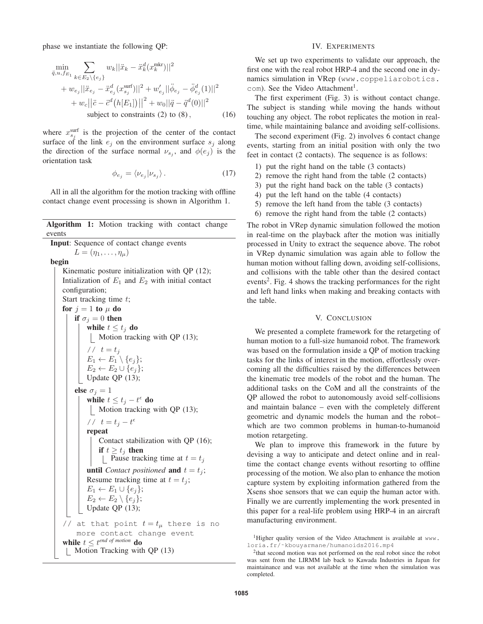phase we instantiate the following QP:

$$
\min_{\ddot{q}, u, f_{E_1}} \sum_{k \in E_2 \setminus \{e_j\}} w_k ||\ddot{x}_k - \ddot{x}_k^d (x_k^{\text{mkr}})||^2 \n+ w_{e_j} ||\ddot{x}_{e_j} - \ddot{x}_{e_j}^d (x_{s_j}^{\text{surf}})||^2 + w'_{e_j} ||\ddot{\phi}_{e_j} - \ddot{\phi}_{e_j}^d (1)||^2 \n+ w_c ||\ddot{c} - \ddot{c}^d (h[E_1])||^2 + w_0 ||\ddot{q} - \ddot{q}^d (0)||^2 \n\text{subject to constraints (2) to (8),} \n\tag{16}
$$

where  $x_{s_j}^{\text{surf}}$  is the projection of the center of the contact surface of the link  $e_j$  on the environment surface  $s_j$  along the direction of the surface normal  $\nu_{s_i}$ , and  $\phi(e_i)$  is the orientation task

$$
\phi_{e_j} = \langle \nu_{e_j} | \nu_{s_j} \rangle. \tag{17}
$$

All in all the algorithm for the motion tracking with offline contact change event processing is shown in Algorithm 1.

Algorithm 1: Motion tracking with contact change events Input: Sequence of contact change events  $L = (\eta_1, \ldots, \eta_u)$ begin Kinematic posture initialization with QP (12); Intialization of  $E_1$  and  $E_2$  with initial contact configuration; Start tracking time  $t$ ; for  $j = 1$  to  $\mu$  do if  $\sigma_j = 0$  then while  $t \leq t_i$  do Motion tracking with QP (13); //  $t = t_j$  $E_1 \leftarrow E_1 \setminus \{e_j\};$  $E_2 \leftarrow E_2 \cup \{e_j\};$ Update QP (13); else  $\sigma_i = 1$ while  $t \leq t_j - t^{\epsilon}$  do | Motion tracking with QP (13); //  $t = t_j - t^{\epsilon}$ repeat Contact stabilization with QP (16); if  $t \geq t_i$  then  $\lfloor$  Pause tracking time at  $t = t_j$ **until** *Contact positioned* **and**  $t = t_j$ ; Resume tracking time at  $t = t_j$ ;  $E_1 \leftarrow E_1 \cup \{e_j\};$  $E_2 \leftarrow E_2 \setminus \{e_i\};$ Update QP (13); // at that point  $t = t_{\mu}$  there is no more contact change event while  $t \leq t^{end}$  of motion **do** Motion Tracking with QP (13)

#### IV. EXPERIMENTS

We set up two experiments to validate our approach, the first one with the real robot HRP-4 and the second one in dynamics simulation in VRep (www.coppeliarobotics. com). See the Video Attachment<sup>1</sup>.

The first experiment (Fig. 3) is without contact change. The subject is standing while moving the hands without touching any object. The robot replicates the motion in realtime, while maintaining balance and avoiding self-collisions.

The second experiment (Fig. 2) involves 6 contact change events, starting from an initial position with only the two feet in contact (2 contacts). The sequence is as follows:

- 1) put the right hand on the table (3 contacts)
- 2) remove the right hand from the table (2 contacts)
- 3) put the right hand back on the table (3 contacts)
- 4) put the left hand on the table (4 contacts)
- 5) remove the left hand from the table (3 contacts)
- 6) remove the right hand from the table (2 contacts)

The robot in VRep dynamic simulation followed the motion in real-time on the playback after the motion was initially processed in Unity to extract the sequence above. The robot in VRep dynamic simulation was again able to follow the human motion without falling down, avoiding self-collisions, and collisions with the table other than the desired contact events<sup>2</sup>. Fig. 4 shows the tracking performances for the right and left hand links when making and breaking contacts with the table.

#### V. CONCLUSION

We presented a complete framework for the retargeting of human motion to a full-size humanoid robot. The framework was based on the formulation inside a QP of motion tracking tasks for the links of interest in the motion, effortlessly overcoming all the difficulties raised by the differences between the kinematic tree models of the robot and the human. The additional tasks on the CoM and all the constraints of the QP allowed the robot to autonomously avoid self-collisions and maintain balance – even with the completely different geometric and dynamic models the human and the robot– which are two common problems in human-to-humanoid motion retargeting.

We plan to improve this framework in the future by devising a way to anticipate and detect online and in realtime the contact change events without resorting to offline processing of the motion. We also plan to enhance the motion capture system by exploiting information gathered from the Xsens shoe sensors that we can equip the human actor with. Finally we are currently implementing the work presented in this paper for a real-life problem using HRP-4 in an aircraft manufacturing environment.

<sup>&</sup>lt;sup>1</sup>Higher quality version of the Video Attachment is available at www.<br> $lortia.fr/~kbowvarmane/humanoids2016.mp4$ 

 $2$ that second motion was not performed on the real robot since the robot was sent from the LIRMM lab back to Kawada Industries in Japan for maintainance and was not available at the time when the simulation was completed.